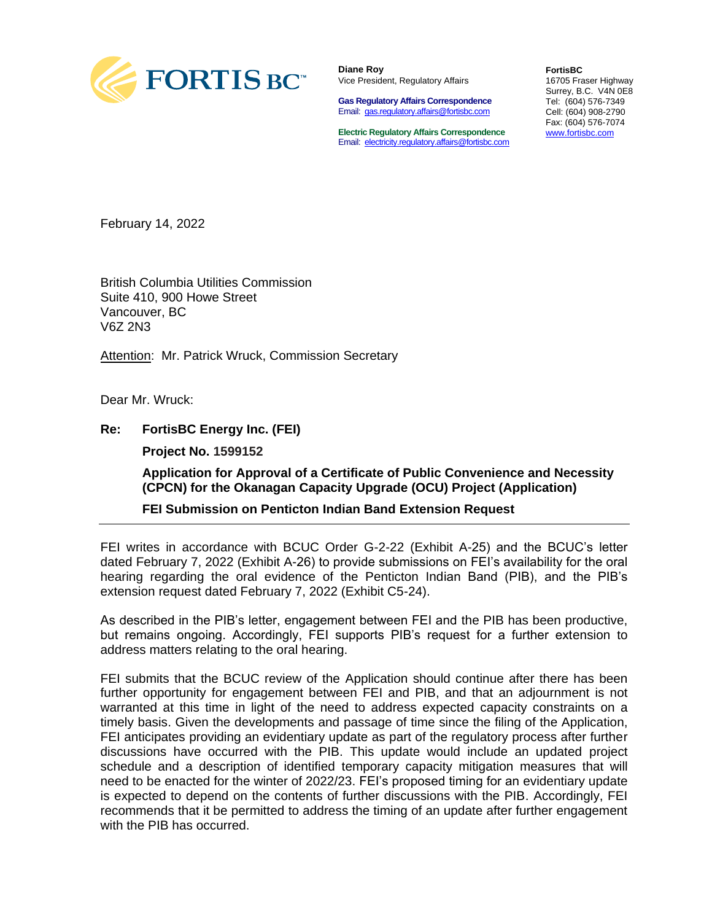

**Diane Roy** Vice President, Regulatory Affairs

**Gas Regulatory Affairs Correspondence** Email: [gas.regulatory.affairs@fortisbc.com](mailto:gas.regulatory.affairs@fortisbc.com)

**Electric Regulatory Affairs Correspondence** Email: [electricity.regulatory.affairs@fortisbc.com](mailto:electricity.regulatory.affairs@fortisbc.com) **FortisBC**  16705 Fraser Highway Surrey, B.C. V4N 0E8 Tel: (604) 576-7349 Cell: (604) 908-2790 Fax: (604) 576-7074 [www.fortisbc.com](http://www.fortisbc.com/)

February 14, 2022

British Columbia Utilities Commission Suite 410, 900 Howe Street Vancouver, BC V6Z 2N3

Attention: Mr. Patrick Wruck, Commission Secretary

Dear Mr. Wruck:

**Re: FortisBC Energy Inc. (FEI)**

**Project No. 1599152**

**Application for Approval of a Certificate of Public Convenience and Necessity (CPCN) for the Okanagan Capacity Upgrade (OCU) Project (Application)**

**FEI Submission on Penticton Indian Band Extension Request**

FEI writes in accordance with BCUC Order G-2-22 (Exhibit A-25) and the BCUC's letter dated February 7, 2022 (Exhibit A-26) to provide submissions on FEI's availability for the oral hearing regarding the oral evidence of the Penticton Indian Band (PIB), and the PIB's extension request dated February 7, 2022 (Exhibit C5-24).

As described in the PIB's letter, engagement between FEI and the PIB has been productive, but remains ongoing. Accordingly, FEI supports PIB's request for a further extension to address matters relating to the oral hearing.

FEI submits that the BCUC review of the Application should continue after there has been further opportunity for engagement between FEI and PIB, and that an adjournment is not warranted at this time in light of the need to address expected capacity constraints on a timely basis. Given the developments and passage of time since the filing of the Application, FEI anticipates providing an evidentiary update as part of the regulatory process after further discussions have occurred with the PIB. This update would include an updated project schedule and a description of identified temporary capacity mitigation measures that will need to be enacted for the winter of 2022/23. FEI's proposed timing for an evidentiary update is expected to depend on the contents of further discussions with the PIB. Accordingly, FEI recommends that it be permitted to address the timing of an update after further engagement with the PIB has occurred.